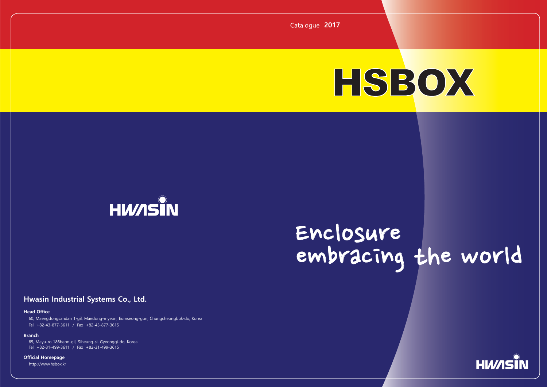## **Hwasin Industrial Systems Co., Ltd.**

### **Head Office**

Tel +82-43-877-3611 / Fax +82-43-877-3615 60, Maengdongsandan 1-gil, Maedong-myeon, Eumseong-gun, Chungcheongbuk-do, Korea

#### **Branch**

http://www.hsbox.kr



**Official Homepage**

Tel +82-31-499-3611 / Fax +82-31-499-3615 65, Mayu-ro 186beon-gil, Siheung-si, Gyeonggi-do, Korea

# Enclosure embracing the world

**2017**



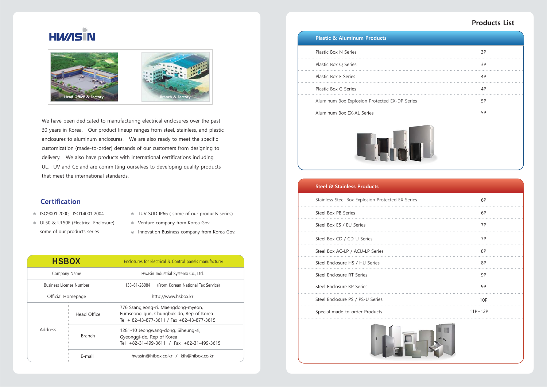Plastic Box N Series

Plastic Box Q Series

Plastic Box F Series

Plastic Box G Series

Aluminum Box Explosion Protected EX-DP Series

|    | 3P |
|----|----|
|    | 3P |
|    | 4P |
|    | 4P |
| es | 5P |
|    | 5P |
| Ū  |    |

Aluminum Box EX-AL Series



## **Plastic & Aluminum Products**

#### **Steel & Stainless Products**

Stainless Steel Box Explosion Protected EX Series

Steel Box ES / EU Series

Steel Box CD / CD-U Series

Steel Box AC-LP / ACU-LP Series

- 
- UL50 & UL50E (Electrical Enclosure) some of our products series
- ISO9001:2000, ISO14001:2004 TUV SUD IP66 ( some of our products series)
	- Venture company from Korea Gov.
	- $\circ$  Innovation Business company from Korea Gov.

Steel Enclosure RT Series

Steel Enclosure HS / HU Series

Steel Box PB Series

Steel Enclosure KP Series

| es | 6P          |  |
|----|-------------|--|
|    | 6P          |  |
|    | 7P          |  |
|    | 7P          |  |
|    | 8P          |  |
|    | 8P          |  |
|    | 9P          |  |
|    | 9P          |  |
|    | <b>10P</b>  |  |
|    | $11P - 12P$ |  |
|    |             |  |

Steel Enclosure PS / PS-U Series

Special made-to-order Products



## **Products List**

## **Certification**

We have been dedicated to manufacturing electrical enclosures over the past 30 years in Korea. Our product lineup ranges from steel, stainless, and plastic enclosures to aluminum enclosures. We are also ready to meet the specific customization (made-to-order) demands of our customers from designing to delivery. We also have products with international certifications including UL, TUV and CE and are committing ourselves to developing quality products that meet the international standards.

| <b>HSBOX</b>                   |               | Enclosures for Electrical & Control panels manufacturer                                                                      |
|--------------------------------|---------------|------------------------------------------------------------------------------------------------------------------------------|
| Company Name                   |               | Hwasin Industrial Systemx Co., Ltd.                                                                                          |
| <b>Business License Number</b> |               | 133-81-26084 (From Korean National Tax Service)                                                                              |
| Official Homepage              |               | http://www.hsbox.kr                                                                                                          |
| Head Office                    |               | 776 Ssangjeong-ri, Maengdong-myeon,<br>Eumseong-gun, Chungbuk-do, Rep of Korea<br>Tel + 82-43-877-3611 / Fax +82-43-877-3615 |
| Address                        | <b>Branch</b> | 1281-10 Jeongwang-dong, Siheung-si,<br>Gyeonggi-do, Rep of Korea<br>Tel +82-31-499-3611 / Fax +82-31-499-3615                |
|                                | E-mail        | hwasin@hibox.co.kr / kih@hibox.co.kr                                                                                         |



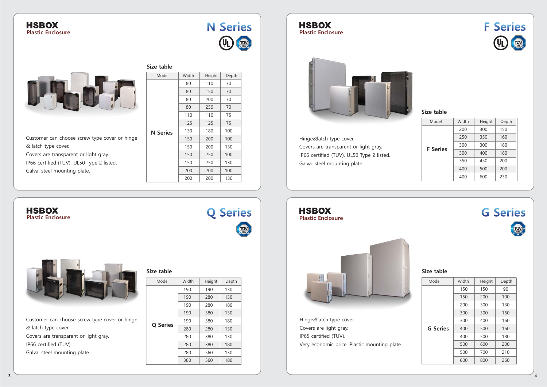

## **HSBOX Plastic Enclosure**



## **HSBOX Plastic Enclosure**



**Plastic Enclosure**



## **HSBOX Plastic Enclosure**

## **Size table**

**Size table**

## **Size table**

**Q Series G Series**<br>Covers are light gray. G Series Hinge&latch type cover. IP65 certified (TUV). Very economic price. Plastic mounting plate.

Customer can choose screw type cover or hinge & latch type cover. Covers are transparent or light gray. IP66 certified (TUV). Galva. steel mounting plate.

| Model           | Width | Height | Depth |
|-----------------|-------|--------|-------|
|                 | 150   | 150    | 90    |
|                 | 150   | 200    | 100   |
|                 | 200   | 300    | 130   |
|                 | 300   | 300    | 160   |
|                 | 300   | 400    | 160   |
| <b>G Series</b> | 400   | 500    | 160   |
|                 | 400   | 500    | 180   |
|                 | 500   | 600    | 200   |
|                 | 500   | 700    | 210   |
|                 | 600   | 800    | 260   |

| Model           | Width | Height | Depth |
|-----------------|-------|--------|-------|
|                 | 80    | 110    | 70    |
|                 | 80    | 150    | 70    |
|                 | 80    | 200    | 70    |
|                 | 80    | 250    | 70    |
|                 | 110   | 110    | 75    |
|                 | 125   | 125    | 75    |
| <b>N</b> Series | 130   | 180    | 100   |
|                 | 150   | 200    | 100   |
|                 | 150   | 200    | 130   |
|                 | 150   | 250    | 100   |
|                 | 150   | 250    | 130   |
|                 | 200   | 200    | 100   |
|                 | 200   | 200    | 130   |





| Model           | Width | Height | Depth |  |
|-----------------|-------|--------|-------|--|
|                 | 200   | 300    | 150   |  |
|                 | 250   | 350    | 160   |  |
| <b>F</b> Series | 300   | 300    | 180   |  |
|                 | 300   | 400    | 180   |  |
|                 | 350   | 450    | 200   |  |
|                 | 400   | 500    | 200   |  |
|                 | 400   | 600    | 230   |  |



# **TUV**

| Model           | Width | Height | Depth |  |
|-----------------|-------|--------|-------|--|
|                 | 190   | 190    | 130   |  |
|                 | 190   | 280    | 130   |  |
|                 | 190   | 280    | 180   |  |
|                 | 190   | 380    | 130   |  |
|                 | 190   | 380    | 180   |  |
| <b>Q</b> Series | 280   | 280    | 130   |  |
|                 | 280   | 380    | 130   |  |
|                 | 280   | 380    | 180   |  |
|                 | 280   | 560    | 130   |  |
|                 | 380   | 560    | 180   |  |





|                                               | <b>S</b> |
|-----------------------------------------------|----------|
| Customer can choose screw type cover or hinge |          |
| & latch type cover.                           |          |
| Covers are transparent or light gray.         |          |
| IP66 certified (TUV). UL50 Type 2 listed.     |          |
| Galva. steel mounting plate.                  |          |
|                                               |          |

Hinge&latch type cover. Covers are transparent or light gray. IP66 certified (TUV). UL50 Type 2 listed. Galva. steel mounting plate.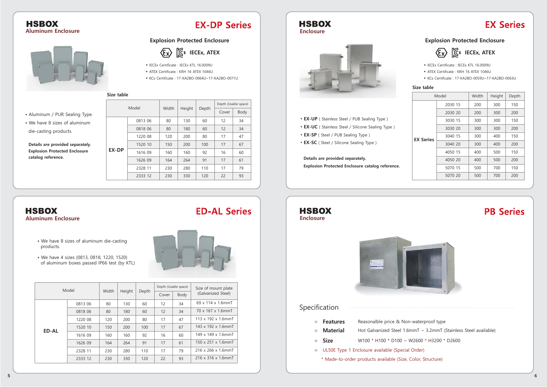# **EX Series**

## **HSBOX Aluminum Enclosure**



## **EX-DP Series**

## **HSBOX Enclosure**



## **HSBOX Enclosure**



- Aluminum / PUR Sealing Type.
- We have 8 sizes of aluminum die-casting products.

**Details are provided separately. Explosion Protected Enclosure catalog reference.**

> Hot Galvanized Steel 1.6mmT ~ 3.2mmT (Stainless Steel available) W100 \* H100 \* D100 ~ W2600 \* H3200 \* D2600

| Model |         |       | Height | Depth | Depth (Usable space) |      |  |
|-------|---------|-------|--------|-------|----------------------|------|--|
|       |         | Width |        |       | Cover                | Body |  |
|       | 0813 06 | 80    | 130    | 60    | 12                   | 34   |  |
| EX-DP | 0818 06 | 80    | 180    | 60    | 12                   | 34   |  |
|       | 1220 08 | 120   | 200    | 80    | 17                   | 47   |  |
|       | 1520 10 | 150   | 200    | 100   | 17                   | 67   |  |
|       | 1616 09 | 160   | 160    | 92    | 16                   | 60   |  |
|       | 1626 09 | 164   | 264    | 91    | 17                   | 61   |  |
|       | 2328 11 | 230   | 280    | 110   | 17                   | 79   |  |
|       | 2333 12 | 230   | 330    | 120   | 22                   | 93   |  |

## **HSBOX Aluminum Enclosure**

## Specification

- **Features**  $\circledcirc$
- Reasonalble price & Non-waterproof type
	- **Material**
- **Size**
- UL50E Type 1 Enclosure available (Special Order)
	- \* Made-to-order products available (Size, Color, Structure)
- We have 8 sizes of aluminum die-casting products.
- We have 4 sizes (0813, 0818, 1220, 1520) of aluminum boxes passed IP66 test (by KTL)



| Model |         |       |        | Depth (Usable space) |       | Size of mount plate |                                 |
|-------|---------|-------|--------|----------------------|-------|---------------------|---------------------------------|
|       |         | Width | Height | Depth                | Cover | Body                | (Galvanized Steel)              |
|       | 0813 06 | 80    | 130    | 60                   | 12    | 34                  | $69 \times 114 \times 1.6$ mmT  |
|       | 0818 06 | 80    | 180    | 60                   | 12    | 34                  | 70 x 167 x 1.6mmT               |
|       | 1220 08 | 120   | 200    | 80                   | 17    | 47                  | 113 x 192 x 1.6mmT              |
| ED-AL | 1520 10 | 150   | 200    | 100                  | 17    | 67                  | 143 x 192 x 1.6mmT              |
|       | 1616 09 | 160   | 160    | 92                   | 16    | 60                  | 149 x 149 x 1.6mmT              |
|       | 1626 09 | 164   | 264    | 91                   | 17    | 61                  | 150 x 251 x 1.6mmT              |
|       | 2328 11 | 230   | 280    | 110                  | 17    | 79                  | 216 x 266 x 1.6mmT              |
|       | 2333 12 | 230   | 330    | 120                  | 22    | 93                  | $216 \times 316 \times 1.6$ mmT |

# **ED-AL Series**

| Model   |     | Height | Depth |
|---------|-----|--------|-------|
| 2030 15 | 200 | 300    | 150   |
| 2030 20 | 200 | 300    | 200   |
| 3030 15 | 300 | 300    | 150   |
| 3030 20 | 300 | 300    | 200   |
| 3040 15 | 300 | 400    | 150   |
| 3040 20 | 300 | 400    | 200   |
| 4050 15 | 400 | 500    | 150   |
| 4050 20 | 400 | 500    | 200   |
| 5070 15 | 500 | 700    | 150   |
| 5070 20 | 500 | 700    | 200   |
|         |     | Width  |       |

## **PB Series**

## **Size table**

**Size table**

- **EX-UP** ( Stainless Steel / PUB Sealing Type )
- **EX-UC** ( Stainless Steel / Silicone Sealing Type )
- • **EX-SP** ( Steel / PUB Sealing Type )
- **EX-SC** ( Steel / Silicone Sealing Type )

## **Explosion Protected Enclosure**



## **Explosion Protected Enclosure**

 $\langle \overline{\xi_x} \rangle$   $\langle \overline{\zeta_s} \rangle$  IECEx, ATEX

## **Details are provided separately.**

**Explosion Protected Enclosure catalog reference.**

- IECEx Certificate : IECEx KTL 16.0009U
- ATEX Certificate : KRH 16 ATEX 1046U
- KCs Certificate : 17-KA2BO-0064U~17-KA2BO-0071U
- IECEx Certificate : IECEx KTL 16.0009U
- ATEX Certificate : KRH 16 ATEX 1046U
- KCs Certificate : 17-KA2BO-0059U~17-KA2BO-0063U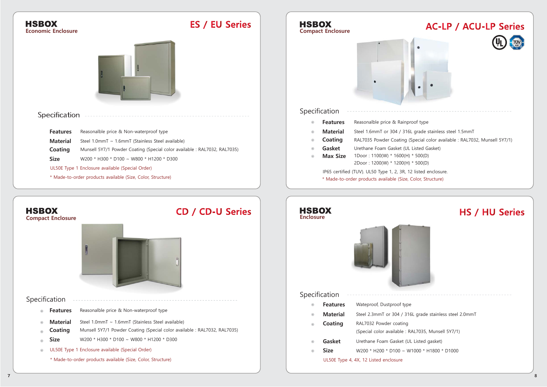| <b>HSBOX</b><br><b>Economic Enclosure</b>                  |                                                                                                                                | <b>ES / EU Series</b>   | <b>HSBOX</b>                     | <b>Compact Enclosure</b> |                                                      |
|------------------------------------------------------------|--------------------------------------------------------------------------------------------------------------------------------|-------------------------|----------------------------------|--------------------------|------------------------------------------------------|
|                                                            |                                                                                                                                |                         |                                  |                          |                                                      |
| Specification                                              |                                                                                                                                |                         |                                  | Specification            |                                                      |
|                                                            |                                                                                                                                |                         | $\circledcirc$                   | <b>Features</b>          | Reasonalble price & Rainpr                           |
| <b>Features</b>                                            | Reasonalble price & Non-waterproof type                                                                                        |                         | $\circledcirc$                   | <b>Material</b>          | Steel 1.6mmT or 304 / 316                            |
| <b>Material</b>                                            | Steel 1.0mmT ~ 1.6mmT (Stainless Steel available)                                                                              |                         | $_{\odot}$                       | Coating                  | RAL7035 Powder Coating (                             |
| <b>Coating</b>                                             | Munsell 5Y7/1 Powder Coating (Special color available : RAL7032, RAL7035)                                                      |                         |                                  | Gasket                   | Urethane Foam Gasket (UL                             |
| <b>Size</b>                                                | W200 * H300 * D100 ~ W800 * H1200 * D300                                                                                       |                         | $\circledcirc$                   | <b>Max Size</b>          | 1Door: 1100(W) * 1600(H)<br>2Door: 1200(W) * 1200(H) |
|                                                            | UL50E Type 1 Enclosure available (Special Order)                                                                               |                         |                                  |                          | IP65 certified (TUV). UL50 Type 1, 2, 3R, 1          |
|                                                            | * Made-to-order products available (Size, Color, Structure)                                                                    |                         |                                  |                          | * Made-to-order products available (Size,            |
| <b>HSBOX</b><br><b>Compact Enclosure</b>                   |                                                                                                                                | <b>CD / CD-U Series</b> | <b>HSBOX</b><br><b>Enclosure</b> |                          |                                                      |
| Specification                                              |                                                                                                                                |                         |                                  | Specification            |                                                      |
| <b>Features</b><br>$\circledcirc$                          | Reasonalble price & Non-waterproof type                                                                                        |                         | $_{\odot}$                       | <b>Features</b>          | Wateproof, Dustproof type                            |
|                                                            |                                                                                                                                |                         | $\circledcirc$                   | <b>Material</b>          | Steel 2.3mmT or 304 / 316                            |
| <b>Material</b><br>$\circledcirc$<br>Coating<br>$^{\circ}$ | Steel 1.0mmT ~ 1.6mmT (Stainless Steel available)<br>Munsell 5Y7/1 Powder Coating (Special color available : RAL7032, RAL7035) |                         | $\circledcirc$                   | Coating                  | RAL7032 Powder coating                               |
| Size<br>$^{\circ}$                                         | W200 * H300 * D100 ~ W800 * H1200 * D300                                                                                       |                         |                                  |                          | (Special color available : R                         |
|                                                            | UL50E Type 1 Enclosure available (Special Order)                                                                               |                         | $^{\circ}$                       | Gasket                   | Urethane Foam Gasket (UI                             |
| $\circledcirc$                                             |                                                                                                                                |                         | $\circledcirc$                   | <b>Size</b>              | W200 * H200 * D100 ~ W                               |
|                                                            | * Made-to-order products available (Size, Color, Structure)                                                                    |                         |                                  |                          | UL50E Type 4, 4X, 12 Listed enclosure                |





16L grade stainless steel 2.0mmT

RAL7035, Munsell 5Y7/1)

UL Listed gasket)

 $W1000 * H1800 * D1000$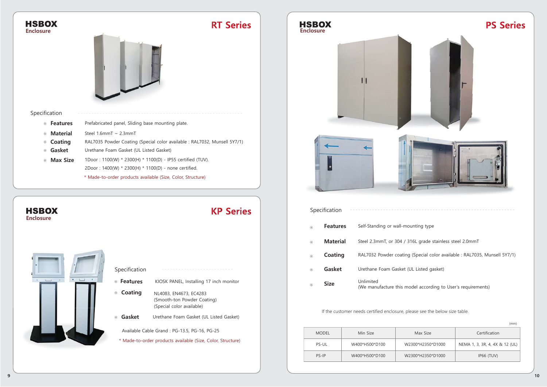**Enclosure**

**HSBOX** 

| Specification                     |                                                                           |  |
|-----------------------------------|---------------------------------------------------------------------------|--|
| <b>Features</b><br>$\circledcirc$ | Prefabricated panel, Sliding base mounting plate.                         |  |
| <b>Material</b><br>$\circledcirc$ | Steel 1.6mmT ~ 2.3mmT                                                     |  |
| Coating<br>$_{\odot}$             | RAL7035 Powder Coating (Special color available : RAL7032, Munsell 5Y7/1) |  |
| Gasket<br>$\circledcirc$          | Urethane Foam Gasket (UL Listed Gasket)                                   |  |
| <b>Max Size</b><br>$\circledcirc$ | 1Door: 1100(W) * 2300(H) * 1100(D) - IP55 certified (TUV).                |  |
|                                   | 2Door: 1400(W) * 2300(H) * 1100(D) - none certified.                      |  |
|                                   | * Made-to-order products available (Size, Color, Structure)               |  |



 Urethane Foam Gasket (UL Listed gasket) Unlimited **Size** Unlimited<br>(We manufacture this model according to User's requirements)

| Specification            |                                                                                    |
|--------------------------|------------------------------------------------------------------------------------|
| ◉ Features               | KIOSK PANEL, Installing 17 inch monitor                                            |
| Coating<br>$_{\odot}$    | NL4083, EN4673, EC4283<br>(Smooth-ton Powder Coating)<br>(Special color available) |
| Gasket<br>$\circledcirc$ | Urethane Foam Gasket (UL Listed Gasket)                                            |
|                          | Available Cable Grand: PG-13.5, PG-16, PG-25                                       |
|                          | $\star$ Mede to ender producte qualified (City Calor Ctrusture)                    |

**KP Series** 

Made-to-order products available (Size, Color, Structure)



Steel 2.3mmT, or 304 / 316L grade stainless steel 2.0mmT



|              |                |                   | (mm)                           |
|--------------|----------------|-------------------|--------------------------------|
| <b>MODEL</b> | Min Size       | Max Size          | Certification                  |
| PS-UL        | W400*H500*D100 | W2300*H2350*D1000 | NEMA 1, 3, 3R, 4, 4X & 12 (UL) |
| PS-IP        | W400*H500*D100 | W2300*H2350*D1000 | IP66 (TUV)                     |

## If the customer needs certified enclosure, please see the below size table.